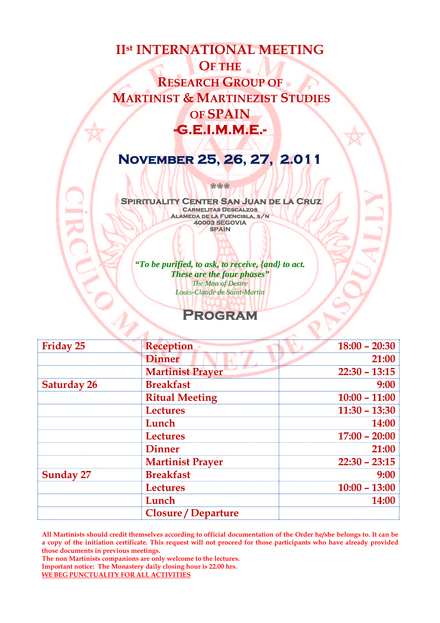# **IIst INTERNATIONAL MEETING OF THE RESEARCH GROUP OF MARTINIST & MARTINEZIST STUDIES OF SPAIN -G.E.I.M.M.E.-**

## **November 25, 26, 27, 2.011**

**Spirituality Center San Juan de la Cruz Carmelitas Descalzos Alameda de la Fuencisla, s/n 40003 SEGOVIA SPAIN**

**\*\*\***

*"To be purified, to ask, to receive, {and} to act. These are the four phases" The Man of Desire Louis-Claude de Saint-Martin*

## **Program**

| Friday 25          | <b>Reception</b>           | $18:00 - 20:30$ |
|--------------------|----------------------------|-----------------|
|                    | <b>Dinner</b>              | 21:00           |
|                    | <b>Martinist Prayer</b>    | $22:30 - 13:15$ |
| <b>Saturday 26</b> | <b>Breakfast</b>           | 9:00            |
|                    | <b>Ritual Meeting</b>      | $10:00 - 11:00$ |
|                    | <b>Lectures</b>            | $11:30 - 13:30$ |
|                    | Lunch                      | <b>14:00</b>    |
|                    | <b>Lectures</b>            | $17:00 - 20:00$ |
|                    | <b>Dinner</b>              | 21:00           |
|                    | <b>Martinist Prayer</b>    | $22:30 - 23:15$ |
| <b>Sunday 27</b>   | <b>Breakfast</b>           | 9:00            |
|                    | <b>Lectures</b>            | $10:00 - 13:00$ |
|                    | Lunch                      | 14:00           |
|                    | <b>Closure / Departure</b> |                 |

**All Martinists should credit themselves according to official documentation of the Order he/she belongs to. It can be a copy of the initiation certificate. This request will not proceed for those participants who have already provided those documents in previous meetings.**

**The non Martinists companions are only welcome to the lectures. Important notice: The Monastery daily closing hour is 22.00 hrs. WE BEG PUNCTUALITY FOR ALL ACTIVITIES**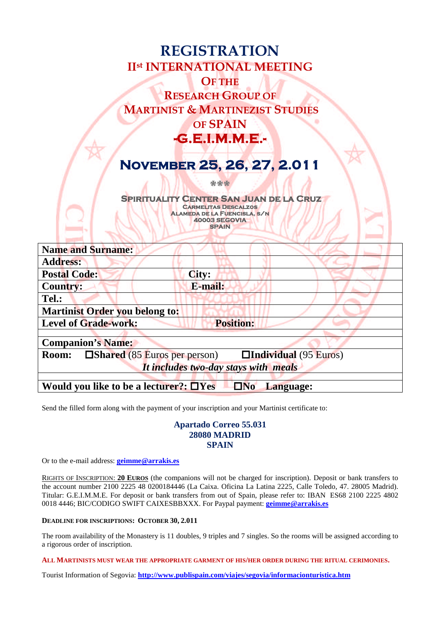| <b>REGISTRATION</b><br><b>IIst INTERNATIONAL MEETING</b><br><b>OF THE</b><br><b>RESEARCH GROUP OF</b><br><b>MARTINIST &amp; MARTINEZIST STUDIES</b><br><b>OF SPAIN</b><br><b>-G.E.I.M.M.E.-</b> |  |  |  |
|-------------------------------------------------------------------------------------------------------------------------------------------------------------------------------------------------|--|--|--|
| NOVEMBER 25, 26, 27, 2.011                                                                                                                                                                      |  |  |  |
| <b>ALC 47</b>                                                                                                                                                                                   |  |  |  |
| <b>SPIRITUALITY CENTER SAN JUAN DE LA CRUZ</b><br><b>CARMELITAS DESCALZOS</b><br>ALAMEDA DE LA FUENCISLA. S/N<br><b>40003 SEGOVIA</b><br><b>SPAIN</b>                                           |  |  |  |
|                                                                                                                                                                                                 |  |  |  |
| <b>Name and Surname:</b>                                                                                                                                                                        |  |  |  |
| <b>Address:</b>                                                                                                                                                                                 |  |  |  |
| <b>Postal Code:</b><br>City:                                                                                                                                                                    |  |  |  |
| E-mail:<br><b>Country:</b>                                                                                                                                                                      |  |  |  |
| Tel.:                                                                                                                                                                                           |  |  |  |
| <b>Martinist Order you belong to:</b>                                                                                                                                                           |  |  |  |
| <b>Position:</b><br><b>Level of Grade-work:</b>                                                                                                                                                 |  |  |  |
| <b>Companion's Name:</b>                                                                                                                                                                        |  |  |  |
| <b>Individual</b> (95 Euros)<br>$\Box$ Shared (85 Euros per person)<br><b>Room:</b>                                                                                                             |  |  |  |
| It includes two-day stays with meals                                                                                                                                                            |  |  |  |
|                                                                                                                                                                                                 |  |  |  |
| $\Box$ No<br>Would you like to be a lecturer?: $\Box$ Yes<br>Language:                                                                                                                          |  |  |  |

Send the filled form along with the payment of your inscription and your Martinist certificate to:

#### **Apartado Correo 55.031 28080 MADRID SPAIN**

Or to the e-mail address: **[geimme@arrakis.es](mailto:geimme@arrakis.es)**

RIGHTS OF INSCRIPTION: **20 EUROS** (the companions will not be charged for inscription). Deposit or bank transfers to the account number 2100 2225 48 0200184446 (La Caixa. Oficina La Latina 2225, Calle Toledo, 47. 28005 Madrid). Titular: G.E.I.M.M.E. For deposit or bank transfers from out of Spain, please refer to: IBAN ES68 2100 2225 4802 0018 4446; BIC/CODIGO SWIFT CAIXESBBXXX. For Paypal payment: **[geimme@arrakis.es](mailto:geimme@arrakis.es)**

#### **DEADLINE FOR INSCRIPTIONS: OCTOBER 30, 2.011**

The room availability of the Monastery is 11 doubles, 9 triples and 7 singles. So the rooms will be assigned according to a rigorous order of inscription.

**ALL MARTINISTS MUST WEAR THE APPROPRIATE GARMENT OF HIS/HER ORDER DURING THE RITUAL CERIMONIES.**

Tourist Information of Segovia: **<http://www.publispain.com/viajes/segovia/informacionturistica.htm>**